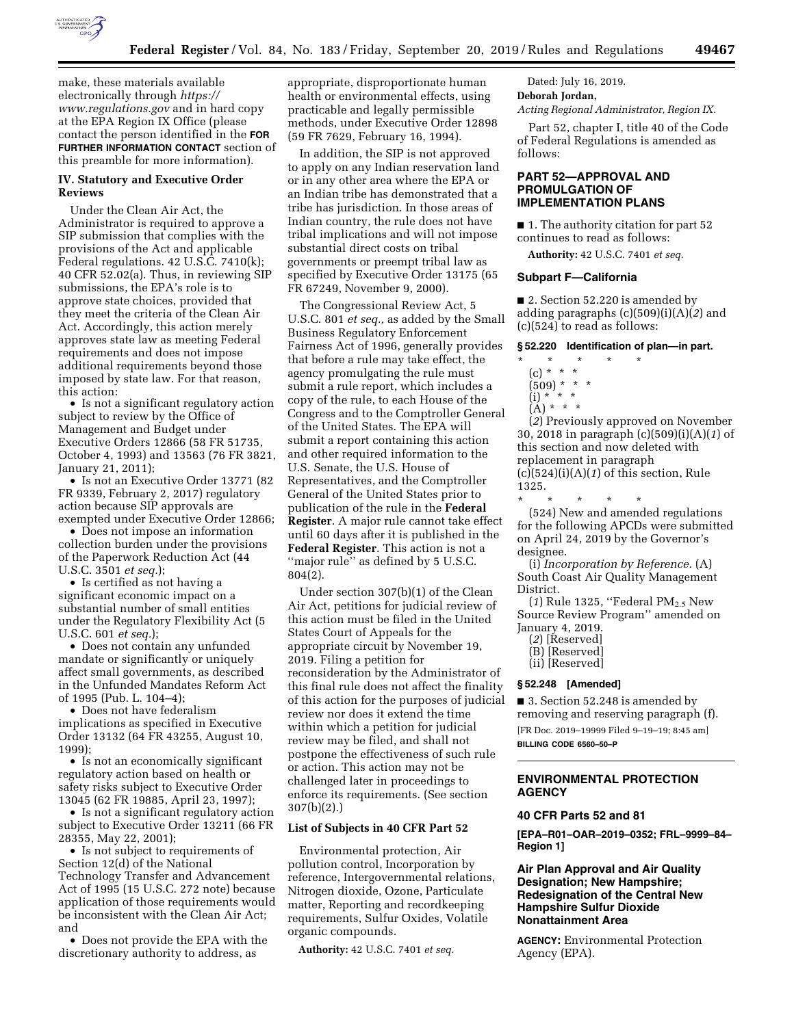

make, these materials available electronically through *[https://](https://www.regulations.gov) [www.regulations.gov](https://www.regulations.gov)* and in hard copy at the EPA Region IX Office (please contact the person identified in the **FOR FURTHER INFORMATION CONTACT** section of this preamble for more information).

# **IV. Statutory and Executive Order Reviews**

Under the Clean Air Act, the Administrator is required to approve a SIP submission that complies with the provisions of the Act and applicable Federal regulations. 42 U.S.C. 7410(k); 40 CFR 52.02(a). Thus, in reviewing SIP submissions, the EPA's role is to approve state choices, provided that they meet the criteria of the Clean Air Act. Accordingly, this action merely approves state law as meeting Federal requirements and does not impose additional requirements beyond those imposed by state law. For that reason, this action:

• Is not a significant regulatory action subject to review by the Office of Management and Budget under Executive Orders 12866 (58 FR 51735, October 4, 1993) and 13563 (76 FR 3821, January 21, 2011);

• Is not an Executive Order 13771 (82 FR 9339, February 2, 2017) regulatory action because SIP approvals are exempted under Executive Order 12866;

• Does not impose an information collection burden under the provisions of the Paperwork Reduction Act (44 U.S.C. 3501 *et seq.*);

• Is certified as not having a significant economic impact on a substantial number of small entities under the Regulatory Flexibility Act (5 U.S.C. 601 *et seq.*);

• Does not contain any unfunded mandate or significantly or uniquely affect small governments, as described in the Unfunded Mandates Reform Act of 1995 (Pub. L. 104–4);

• Does not have federalism implications as specified in Executive Order 13132 (64 FR 43255, August 10, 1999);

• Is not an economically significant regulatory action based on health or safety risks subject to Executive Order 13045 (62 FR 19885, April 23, 1997);

• Is not a significant regulatory action subject to Executive Order 13211 (66 FR 28355, May 22, 2001);

• Is not subject to requirements of Section 12(d) of the National Technology Transfer and Advancement Act of 1995 (15 U.S.C. 272 note) because application of those requirements would be inconsistent with the Clean Air Act; and

• Does not provide the EPA with the discretionary authority to address, as

appropriate, disproportionate human health or environmental effects, using practicable and legally permissible methods, under Executive Order 12898 (59 FR 7629, February 16, 1994).

In addition, the SIP is not approved to apply on any Indian reservation land or in any other area where the EPA or an Indian tribe has demonstrated that a tribe has jurisdiction. In those areas of Indian country, the rule does not have tribal implications and will not impose substantial direct costs on tribal governments or preempt tribal law as specified by Executive Order 13175 (65 FR 67249, November 9, 2000).

The Congressional Review Act, 5 U.S.C. 801 *et seq.,* as added by the Small Business Regulatory Enforcement Fairness Act of 1996, generally provides that before a rule may take effect, the agency promulgating the rule must submit a rule report, which includes a copy of the rule, to each House of the Congress and to the Comptroller General of the United States. The EPA will submit a report containing this action and other required information to the U.S. Senate, the U.S. House of Representatives, and the Comptroller General of the United States prior to publication of the rule in the **Federal Register**. A major rule cannot take effect until 60 days after it is published in the **Federal Register**. This action is not a "major rule" as defined by 5 U.S.C. 804(2).

Under section 307(b)(1) of the Clean Air Act, petitions for judicial review of this action must be filed in the United States Court of Appeals for the appropriate circuit by November 19, 2019. Filing a petition for reconsideration by the Administrator of this final rule does not affect the finality of this action for the purposes of judicial review nor does it extend the time within which a petition for judicial review may be filed, and shall not postpone the effectiveness of such rule or action. This action may not be challenged later in proceedings to enforce its requirements. (See section 307(b)(2).)

# **List of Subjects in 40 CFR Part 52**

Environmental protection, Air pollution control, Incorporation by reference, Intergovernmental relations, Nitrogen dioxide, Ozone, Particulate matter, Reporting and recordkeeping requirements, Sulfur Oxides, Volatile organic compounds.

**Authority:** 42 U.S.C. 7401 *et seq.* 

Dated: July 16, 2019. **Deborah Jordan,** 

*Acting Regional Administrator, Region IX.* 

Part 52, chapter I, title 40 of the Code of Federal Regulations is amended as follows:

# **PART 52—APPROVAL AND PROMULGATION OF IMPLEMENTATION PLANS**

■ 1. The authority citation for part 52 continues to read as follows:

**Authority:** 42 U.S.C. 7401 *et seq.* 

#### **Subpart F—California**

■ 2. Section 52.220 is amended by adding paragraphs (c)(509)(i)(A)(*2*) and (c)(524) to read as follows:

**§ 52.220 Identification of plan—in part.** 

- \* \* \* \* \*
	- (c) \* \* \*
	- $(509) * * * *$
	- (i) \*  $*$  \*
	- $(A) * * * *$

(*2*) Previously approved on November 30, 2018 in paragraph (c)(509)(i)(A)(*1*) of this section and now deleted with replacement in paragraph (c)(524)(i)(A)(*1*) of this section, Rule 1325.

\* \* \* \* \* (524) New and amended regulations for the following APCDs were submitted on April 24, 2019 by the Governor's designee.

(i) *Incorporation by Reference.* (A) South Coast Air Quality Management District.

(*1*) Rule 1325, ''Federal PM2.5 New Source Review Program'' amended on January 4, 2019.

- (*2*) [Reserved]
- (B) [Reserved]
- (ii) [Reserved]

#### **§ 52.248 [Amended]**

■ 3. Section 52.248 is amended by removing and reserving paragraph (f). [FR Doc. 2019–19999 Filed 9–19–19; 8:45 am]

**BILLING CODE 6560–50–P** 

# **ENVIRONMENTAL PROTECTION AGENCY**

# **40 CFR Parts 52 and 81**

**[EPA–R01–OAR–2019–0352; FRL–9999–84– Region 1]** 

# **Air Plan Approval and Air Quality Designation; New Hampshire; Redesignation of the Central New Hampshire Sulfur Dioxide Nonattainment Area**

**AGENCY:** Environmental Protection Agency (EPA).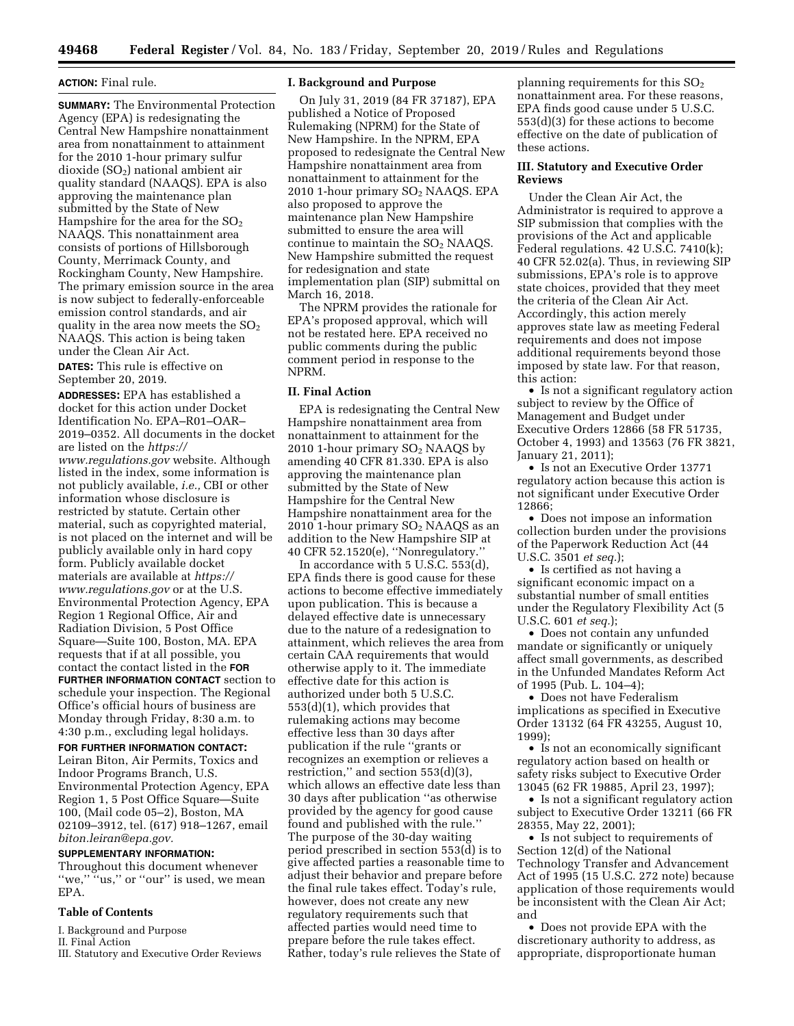#### **ACTION:** Final rule.

**SUMMARY:** The Environmental Protection Agency (EPA) is redesignating the Central New Hampshire nonattainment area from nonattainment to attainment for the 2010 1-hour primary sulfur dioxide  $(SO<sub>2</sub>)$  national ambient air quality standard (NAAQS). EPA is also approving the maintenance plan submitted by the State of New Hampshire for the area for the  $SO<sub>2</sub>$ NAAQS. This nonattainment area consists of portions of Hillsborough County, Merrimack County, and Rockingham County, New Hampshire. The primary emission source in the area is now subject to federally-enforceable emission control standards, and air quality in the area now meets the  $SO<sub>2</sub>$ NAAQS. This action is being taken under the Clean Air Act.

**DATES:** This rule is effective on September 20, 2019.

**ADDRESSES:** EPA has established a docket for this action under Docket Identification No. EPA–R01–OAR– 2019–0352. All documents in the docket are listed on the *[https://](https://www.regulations.gov) [www.regulations.gov](https://www.regulations.gov)* website. Although listed in the index, some information is not publicly available, *i.e.,* CBI or other information whose disclosure is restricted by statute. Certain other material, such as copyrighted material, is not placed on the internet and will be publicly available only in hard copy form. Publicly available docket materials are available at *[https://](https://www.regulations.gov) [www.regulations.gov](https://www.regulations.gov)* or at the U.S. Environmental Protection Agency, EPA Region 1 Regional Office, Air and Radiation Division, 5 Post Office Square—Suite 100, Boston, MA. EPA requests that if at all possible, you contact the contact listed in the **FOR FURTHER INFORMATION CONTACT** section to schedule your inspection. The Regional Office's official hours of business are Monday through Friday, 8:30 a.m. to 4:30 p.m., excluding legal holidays.

**FOR FURTHER INFORMATION CONTACT:**  Leiran Biton, Air Permits, Toxics and Indoor Programs Branch, U.S. Environmental Protection Agency, EPA Region 1, 5 Post Office Square—Suite 100, (Mail code 05–2), Boston, MA 02109–3912, tel. (617) 918–1267, email *[biton.leiran@epa.gov.](mailto:biton.leiran@epa.gov)* 

#### **SUPPLEMENTARY INFORMATION:**

Throughout this document whenever "we," "us," or "our" is used, we mean EPA.

# **Table of Contents**

I. Background and Purpose

- II. Final Action
- III. Statutory and Executive Order Reviews

# **I. Background and Purpose**

On July 31, 2019 (84 FR 37187), EPA published a Notice of Proposed Rulemaking (NPRM) for the State of New Hampshire. In the NPRM, EPA proposed to redesignate the Central New Hampshire nonattainment area from nonattainment to attainment for the 2010 1-hour primary SO<sub>2</sub> NAAQS. EPA also proposed to approve the maintenance plan New Hampshire submitted to ensure the area will continue to maintain the  $SO<sub>2</sub>$  NAAQS. New Hampshire submitted the request for redesignation and state implementation plan (SIP) submittal on March 16, 2018.

The NPRM provides the rationale for EPA's proposed approval, which will not be restated here. EPA received no public comments during the public comment period in response to the NPRM.

#### **II. Final Action**

EPA is redesignating the Central New Hampshire nonattainment area from nonattainment to attainment for the 2010 1-hour primary SO<sub>2</sub> NAAQS by amending 40 CFR 81.330. EPA is also approving the maintenance plan submitted by the State of New Hampshire for the Central New Hampshire nonattainment area for the  $2010$  1-hour primary  $SO<sub>2</sub>$  NAAQS as an addition to the New Hampshire SIP at 40 CFR 52.1520(e), ''Nonregulatory.''

In accordance with 5 U.S.C. 553(d), EPA finds there is good cause for these actions to become effective immediately upon publication. This is because a delayed effective date is unnecessary due to the nature of a redesignation to attainment, which relieves the area from certain CAA requirements that would otherwise apply to it. The immediate effective date for this action is authorized under both 5 U.S.C. 553(d)(1), which provides that rulemaking actions may become effective less than 30 days after publication if the rule ''grants or recognizes an exemption or relieves a restriction,'' and section 553(d)(3), which allows an effective date less than 30 days after publication ''as otherwise provided by the agency for good cause found and published with the rule.'' The purpose of the 30-day waiting period prescribed in section 553(d) is to give affected parties a reasonable time to adjust their behavior and prepare before the final rule takes effect. Today's rule, however, does not create any new regulatory requirements such that affected parties would need time to prepare before the rule takes effect. Rather, today's rule relieves the State of

planning requirements for this  $SO<sub>2</sub>$ nonattainment area. For these reasons, EPA finds good cause under 5 U.S.C. 553(d)(3) for these actions to become effective on the date of publication of these actions.

# **III. Statutory and Executive Order Reviews**

Under the Clean Air Act, the Administrator is required to approve a SIP submission that complies with the provisions of the Act and applicable Federal regulations. 42 U.S.C. 7410(k); 40 CFR 52.02(a). Thus, in reviewing SIP submissions, EPA's role is to approve state choices, provided that they meet the criteria of the Clean Air Act. Accordingly, this action merely approves state law as meeting Federal requirements and does not impose additional requirements beyond those imposed by state law. For that reason, this action:

• Is not a significant regulatory action subject to review by the Office of Management and Budget under Executive Orders 12866 (58 FR 51735, October 4, 1993) and 13563 (76 FR 3821, January 21, 2011);

• Is not an Executive Order 13771 regulatory action because this action is not significant under Executive Order 12866;

• Does not impose an information collection burden under the provisions of the Paperwork Reduction Act (44 U.S.C. 3501 *et seq.*);

• Is certified as not having a significant economic impact on a substantial number of small entities under the Regulatory Flexibility Act (5 U.S.C. 601 *et seq.*);

• Does not contain any unfunded mandate or significantly or uniquely affect small governments, as described in the Unfunded Mandates Reform Act of 1995 (Pub. L. 104–4);

• Does not have Federalism implications as specified in Executive Order 13132 (64 FR 43255, August 10, 1999);

• Is not an economically significant regulatory action based on health or safety risks subject to Executive Order 13045 (62 FR 19885, April 23, 1997);

• Is not a significant regulatory action subject to Executive Order 13211 (66 FR 28355, May 22, 2001);

• Is not subject to requirements of Section 12(d) of the National Technology Transfer and Advancement Act of 1995 (15 U.S.C. 272 note) because application of those requirements would be inconsistent with the Clean Air Act; and

• Does not provide EPA with the discretionary authority to address, as appropriate, disproportionate human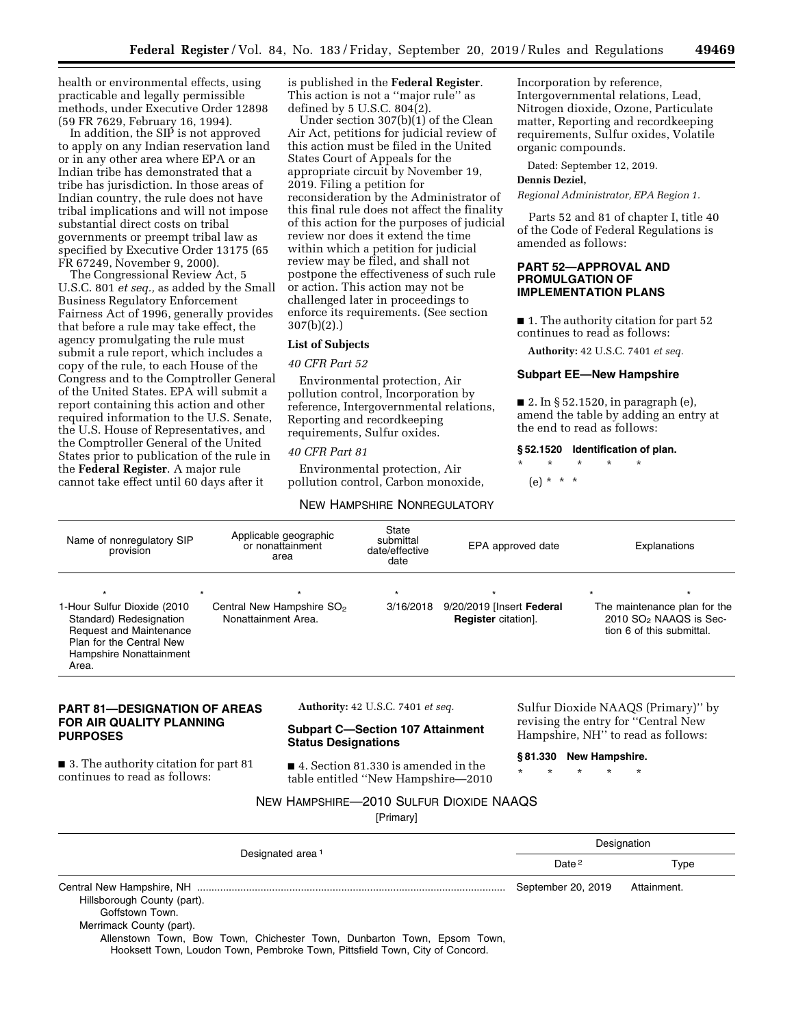health or environmental effects, using practicable and legally permissible methods, under Executive Order 12898 (59 FR 7629, February 16, 1994).

In addition, the SIP is not approved to apply on any Indian reservation land or in any other area where EPA or an Indian tribe has demonstrated that a tribe has jurisdiction. In those areas of Indian country, the rule does not have tribal implications and will not impose substantial direct costs on tribal governments or preempt tribal law as specified by Executive Order 13175 (65 FR 67249, November 9, 2000).

The Congressional Review Act, 5 U.S.C. 801 *et seq.,* as added by the Small Business Regulatory Enforcement Fairness Act of 1996, generally provides that before a rule may take effect, the agency promulgating the rule must submit a rule report, which includes a copy of the rule, to each House of the Congress and to the Comptroller General of the United States. EPA will submit a report containing this action and other required information to the U.S. Senate, the U.S. House of Representatives, and the Comptroller General of the United States prior to publication of the rule in the **Federal Register**. A major rule cannot take effect until 60 days after it

is published in the **Federal Register**. This action is not a ''major rule'' as defined by 5 U.S.C. 804(2).

Under section 307(b)(1) of the Clean Air Act, petitions for judicial review of this action must be filed in the United States Court of Appeals for the appropriate circuit by November 19, 2019. Filing a petition for reconsideration by the Administrator of this final rule does not affect the finality of this action for the purposes of judicial review nor does it extend the time within which a petition for judicial review may be filed, and shall not postpone the effectiveness of such rule or action. This action may not be challenged later in proceedings to enforce its requirements. (See section 307(b)(2).)

#### **List of Subjects**

#### *40 CFR Part 52*

Environmental protection, Air pollution control, Incorporation by reference, Intergovernmental relations, Reporting and recordkeeping requirements, Sulfur oxides.

#### *40 CFR Part 81*

Environmental protection, Air pollution control, Carbon monoxide,

NEW HAMPSHIRE NONREGULATORY

Incorporation by reference, Intergovernmental relations, Lead, Nitrogen dioxide, Ozone, Particulate matter, Reporting and recordkeeping requirements, Sulfur oxides, Volatile organic compounds.

Dated: September 12, 2019.

#### **Dennis Deziel,**

*Regional Administrator, EPA Region 1.* 

Parts 52 and 81 of chapter I, title 40 of the Code of Federal Regulations is amended as follows:

# **PART 52—APPROVAL AND PROMULGATION OF IMPLEMENTATION PLANS**

■ 1. The authority citation for part 52 continues to read as follows:

**Authority:** 42 U.S.C. 7401 *et seq.* 

#### **Subpart EE—New Hampshire**

■ 2. In § 52.1520, in paragraph (e), amend the table by adding an entry at the end to read as follows:

# **§ 52.1520 Identification of plan.**

- \* \* \* \* \*
	- (e) \* \* \*

| Name of nonregulatory SIP<br>provision                                                                                                                        | Applicable geographic<br>or nonattainment<br>area                       | State<br>submittal<br>date/effective<br>date | EPA approved date                                       | Explanations                                                                                                          |  |
|---------------------------------------------------------------------------------------------------------------------------------------------------------------|-------------------------------------------------------------------------|----------------------------------------------|---------------------------------------------------------|-----------------------------------------------------------------------------------------------------------------------|--|
| $\star$<br>1-Hour Sulfur Dioxide (2010)<br>Standard) Redesignation<br>Request and Maintenance<br>Plan for the Central New<br>Hampshire Nonattainment<br>Area. | $\star$<br>Central New Hampshire SO <sub>2</sub><br>Nonattainment Area. | $\star$<br>3/16/2018                         | 9/20/2019 [Insert Federal<br><b>Register</b> citation]. | $\star$<br>$\star$<br>The maintenance plan for the<br>2010 SO <sub>2</sub> NAAQS is Sec-<br>tion 6 of this submittal. |  |

# **PART 81—DESIGNATION OF AREAS FOR AIR QUALITY PLANNING PURPOSES**

■ 3. The authority citation for part 81 continues to read as follows:

**Authority:** 42 U.S.C. 7401 *et seq.* 

# **Subpart C—Section 107 Attainment Status Designations**

■ 4. Section 81.330 is amended in the table entitled ''New Hampshire—2010

Sulfur Dioxide NAAQS (Primary)'' by revising the entry for ''Central New Hampshire, NH'' to read as follows:

**§ 81.330 New Hampshire.** 

- \* \* \* \* \*
- NEW HAMPSHIRE—2010 SULFUR DIOXIDE NAAQS

[Primary]

|                                                                                                                                                         | Designation        |             |  |
|---------------------------------------------------------------------------------------------------------------------------------------------------------|--------------------|-------------|--|
| Designated area <sup>1</sup>                                                                                                                            | Date <sup>2</sup>  | Type        |  |
| Hillsborough County (part).<br>Goffstown Town.<br>Merrimack County (part).                                                                              | September 20, 2019 | Attainment. |  |
| Allenstown Town, Bow Town, Chichester Town, Dunbarton Town, Epsom Town,<br>Hooksett Town, Loudon Town, Pembroke Town, Pittsfield Town, City of Concord. |                    |             |  |